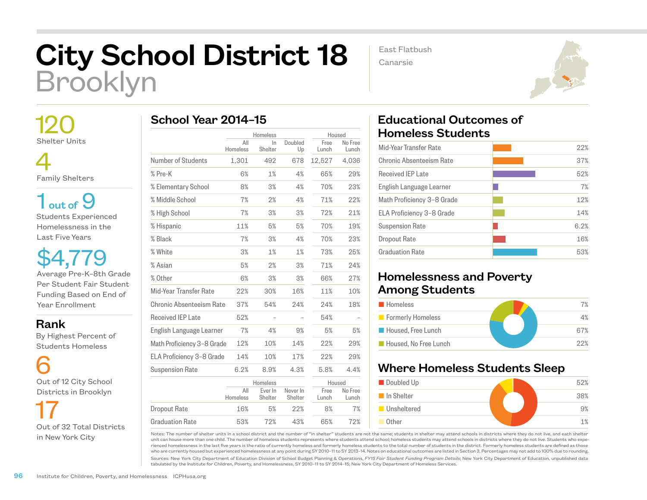# City School District 18 Brooklyn

East Flatbush

Canarsie



 120 Shelter Units

 4 Family Shelters

 $1<sub>out of</sub>9$ Students Experienced Homelessness in the Last Five Years

\$4,779 Average Pre-K–8th Grade Per Student Fair Student Funding Based on End of Year Enrollment

Rank

 By Highest Percent of Students Homeless

 6 Out of 12 City School Districts in Brooklyn

 17 Out of 32 Total Districts in New York City

|                            |                 | Homeless           |                     | Housed        |                  |
|----------------------------|-----------------|--------------------|---------------------|---------------|------------------|
|                            | All<br>Homeless | In.<br>Shelter     | Doubled<br>Up       | Free<br>Lunch | No Free<br>Lunch |
| Number of Students         | 1,301           | 492                | 678                 | 12,527        | 4,036            |
| % Pre-K                    | 6%              | 1%                 | 4%                  | 65%           | 29%              |
| % Elementary School        | 8%              | 3%                 | 4%                  | 70%           | 23%              |
| % Middle School            | 7%              | 2%                 | 4%                  | 71%           | 22%              |
| % High School              | 7%              | 3%                 | 3%                  | 72%           | 21%              |
| % Hispanic                 | 11%             | 5%                 | 5%                  | 70%           | 19%              |
| % Black                    | 7%              | 3%                 | 4%                  | 70%           | 23%              |
| % White                    | 3%              | 1%                 | 1%                  | 73%           | 25%              |
| % Asian                    | 5%              | 2%                 | 3%                  | 71%           | 24%              |
| % Other                    | 6%              | 3%                 | 3%                  | 66%           | 27%              |
| Mid-Year Transfer Rate     | 22%             | 30%                | 16%                 | 11%           | 10%              |
| Chronic Absenteeism Rate   | 37%             | 54%                | 24%                 | 24%           | 18%              |
| Received IEP Late          | 52%             |                    |                     | 54%           |                  |
| English Language Learner   | 7%              | 4%                 | 9%                  | 5%            | 5%               |
| Math Proficiency 3-8 Grade | 12%             | 10%                | 14%                 | 22%           | 29%              |
| ELA Proficiency 3-8 Grade  | 14%             | 10%                | 17%                 | 22%           | 29%              |
| <b>Suspension Rate</b>     | 6.2%            | 8.9%               | 4.3%                | 5.8%          | 4.4%             |
|                            | Homeless        |                    |                     | Housed        |                  |
|                            | All<br>Homeless | Ever In<br>Shelter | Never In<br>Shelter | Free<br>Lunch | No Free<br>Lunch |
| <b>Dropout Rate</b>        | 16%             | 5%                 | 22%                 | 8%            | 7%               |
| <b>Graduation Rate</b>     | 53%             | 72%                | 43%                 | 65%           | 72%              |

## Educational Outcomes of Homeless Students

| Mid-Year Transfer Rate     | 22%  |
|----------------------------|------|
| Chronic Absenteeism Rate   | 37%  |
| Received IFP Late          | 52%  |
| English Language Learner   | 7%   |
| Math Proficiency 3-8 Grade | 12%  |
| ELA Proficiency 3-8 Grade  | 14%  |
| <b>Suspension Rate</b>     | 6.2% |
| Dropout Rate               | 16%  |
| <b>Graduation Rate</b>     | 53%  |
|                            |      |

### Homelessness and Poverty Among Students

| <b>Homeless</b>       | 7%  |
|-----------------------|-----|
| Formerly Homeless     | 4%  |
| Housed, Free Lunch    | 67% |
| Housed, No Free Lunch | 22% |

### Where Homeless Students Sleep



Notes: The number of shelter units in a school district and the number of "in shelter" students are not the same; students in shelter may attend schools in districts where they do not live, and each shelter unit can house more than one child. The number of homeless students represents where students attend school; homeless students may attend schools in districts where they do not live. Students who experienced homelessness in the last five years is the ratio of currently homeless and formerly homeless students to the total number of students in the district. Formerly homeless students are defined as those who are currently housed but experienced homelessness at any point during SY 2010–11 to SY 2013–14. Notes on educational outcomes are listed in Section 3. Percentages may not add to 100% due to rounding.

Sources: New York City Department of Education Division of School Budget Planning & Operations, *FY15 Fair Student Funding Program Details*; New York City Department of Education, unpublished data tabulated by the Institute for Children, Poverty, and Homelessness, SY 2010–11 to SY 2014–15; New York City Department of Homeless Services.